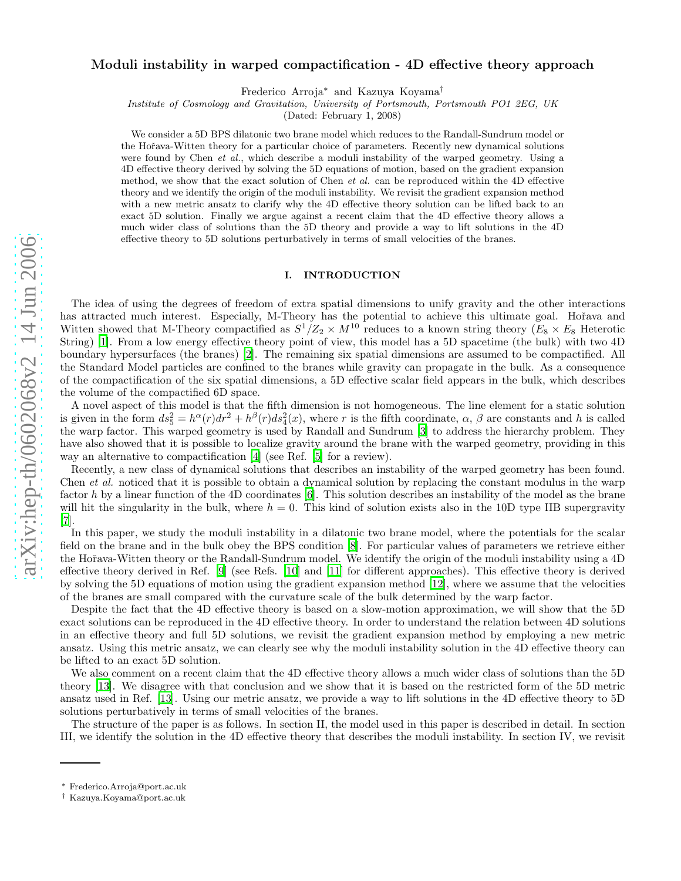# Moduli instability in warped compactification - 4D effective theory approach

Frederico Arroja ∗ and Kazuya Koyama †

Institute of Cosmology and Gravitation, University of Portsmouth, Portsmouth PO1 2EG, UK

(Dated: February 1, 2008)

We consider a 5D BPS dilatonic two brane model which reduces to the Randall-Sundrum model or the Hoˇrava-Witten theory for a particular choice of parameters. Recently new dynamical solutions were found by Chen *et al.*, which describe a moduli instability of the warped geometry. Using a 4D effective theory derived by solving the 5D equations of motion, based on the gradient expansion method, we show that the exact solution of Chen et al. can be reproduced within the 4D effective theory and we identify the origin of the moduli instability. We revisit the gradient expansion method with a new metric ansatz to clarify why the 4D effective theory solution can be lifted back to an exact 5D solution. Finally we argue against a recent claim that the 4D effective theory allows a much wider class of solutions than the 5D theory and provide a way to lift solutions in the 4D effective theory to 5D solutions perturbatively in terms of small velocities of the branes.

# I. INTRODUCTION

The idea of using the degrees of freedom of extra spatial dimensions to unify gravity and the other interactions has attracted much interest. Especially, M-Theory has the potential to achieve this ultimate goal. Hořava and Witten showed that M-Theory compactified as  $S^1/Z_2 \times M^{10}$  reduces to a known string theory  $(E_8 \times E_8)$  Heterotic String) [\[1\]](#page-10-0). From a low energy effective theory point of view, this model has a 5D spacetime (the bulk) with two 4D boundary hypersurfaces (the branes) [\[2](#page-10-1)]. The remaining six spatial dimensions are assumed to be compactified. All the Standard Model particles are confined to the branes while gravity can propagate in the bulk. As a consequence of the compactification of the six spatial dimensions, a 5D effective scalar field appears in the bulk, which describes the volume of the compactified 6D space.

A novel aspect of this model is that the fifth dimension is not homogeneous. The line element for a static solution is given in the form  $ds_5^2 = h^{\alpha}(r)dr^2 + h^{\beta}(r)ds_4^2(x)$ , where r is the fifth coordinate,  $\alpha$ ,  $\beta$  are constants and h is called the warp factor. This warped geometry is used by Randall and Sundrum [\[3\]](#page-10-2) to address the hierarchy problem. They have also showed that it is possible to localize gravity around the brane with the warped geometry, providing in this way an alternative to compactification [\[4\]](#page-10-3) (see Ref. [\[5](#page-10-4)] for a review).

Recently, a new class of dynamical solutions that describes an instability of the warped geometry has been found. Chen *et al.* noticed that it is possible to obtain a dynamical solution by replacing the constant modulus in the warp factor h by a linear function of the 4D coordinates [\[6](#page-10-5)]. This solution describes an instability of the model as the brane will hit the singularity in the bulk, where  $h = 0$ . This kind of solution exists also in the 10D type IIB supergravity [\[7\]](#page-10-6).

In this paper, we study the moduli instability in a dilatonic two brane model, where the potentials for the scalar field on the brane and in the bulk obey the BPS condition [\[8](#page-10-7)]. For particular values of parameters we retrieve either the Hořava-Witten theory or the Randall-Sundrum model. We identify the origin of the moduli instability using a 4D effective theory derived in Ref. [\[9\]](#page-10-8) (see Refs. [\[10\]](#page-10-9) and [\[11](#page-10-10)] for different approaches). This effective theory is derived by solving the 5D equations of motion using the gradient expansion method [\[12\]](#page-10-11), where we assume that the velocities of the branes are small compared with the curvature scale of the bulk determined by the warp factor.

Despite the fact that the 4D effective theory is based on a slow-motion approximation, we will show that the 5D exact solutions can be reproduced in the 4D effective theory. In order to understand the relation between 4D solutions in an effective theory and full 5D solutions, we revisit the gradient expansion method by employing a new metric ansatz. Using this metric ansatz, we can clearly see why the moduli instability solution in the 4D effective theory can be lifted to an exact 5D solution.

We also comment on a recent claim that the 4D effective theory allows a much wider class of solutions than the 5D theory [\[13](#page-10-12)]. We disagree with that conclusion and we show that it is based on the restricted form of the 5D metric ansatz used in Ref. [\[13](#page-10-12)]. Using our metric ansatz, we provide a way to lift solutions in the 4D effective theory to 5D solutions perturbatively in terms of small velocities of the branes.

The structure of the paper is as follows. In section II, the model used in this paper is described in detail. In section III, we identify the solution in the 4D effective theory that describes the moduli instability. In section IV, we revisit

<sup>∗</sup> Frederico.Arroja@port.ac.uk

<sup>†</sup> Kazuya.Koyama@port.ac.uk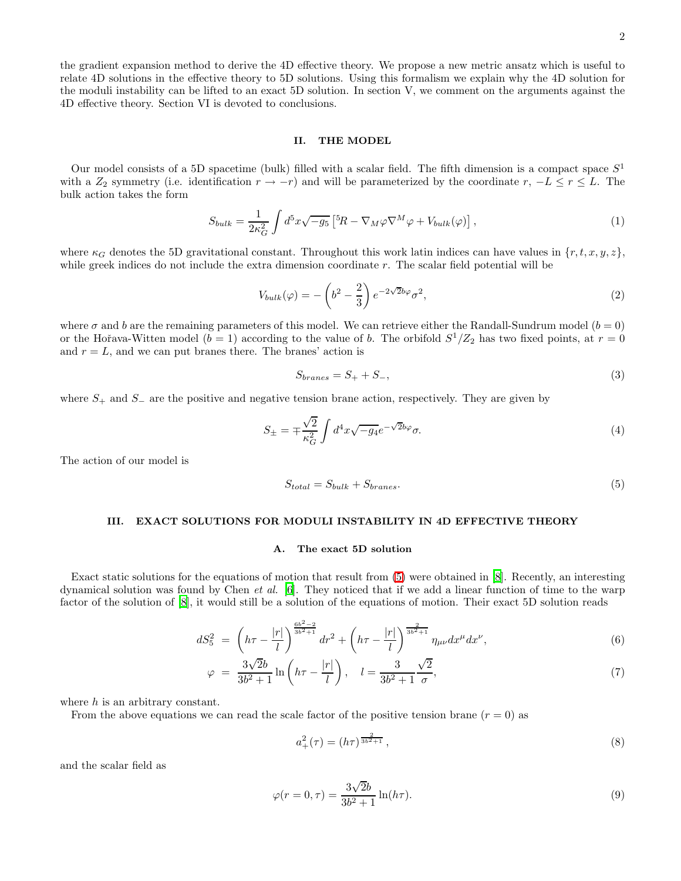the gradient expansion method to derive the 4D effective theory. We propose a new metric ansatz which is useful to relate 4D solutions in the effective theory to 5D solutions. Using this formalism we explain why the 4D solution for the moduli instability can be lifted to an exact 5D solution. In section V, we comment on the arguments against the 4D effective theory. Section VI is devoted to conclusions.

# II. THE MODEL

Our model consists of a 5D spacetime (bulk) filled with a scalar field. The fifth dimension is a compact space  $S<sup>1</sup>$ with a  $Z_2$  symmetry (i.e. identification  $r \to -r$ ) and will be parameterized by the coordinate  $r, -L \le r \le L$ . The bulk action takes the form

$$
S_{bulk} = \frac{1}{2\kappa_G^2} \int d^5x \sqrt{-g_5} \left[ {}^5R - \nabla_M \varphi \nabla^M \varphi + V_{bulk}(\varphi) \right],\tag{1}
$$

where  $\kappa_G$  denotes the 5D gravitational constant. Throughout this work latin indices can have values in  $\{r, t, x, y, z\}$ , while greek indices do not include the extra dimension coordinate  $r$ . The scalar field potential will be

$$
V_{bulk}(\varphi) = -\left(b^2 - \frac{2}{3}\right)e^{-2\sqrt{2}b\varphi}\sigma^2,\tag{2}
$$

where  $\sigma$  and b are the remaining parameters of this model. We can retrieve either the Randall-Sundrum model  $(b = 0)$ or the Hořava-Witten model  $(b = 1)$  according to the value of b. The orbifold  $S^1/Z_2$  has two fixed points, at  $r = 0$ and  $r = L$ , and we can put branes there. The branes' action is

$$
S_{branes} = S_+ + S_-, \tag{3}
$$

where  $S_+$  and  $S_-$  are the positive and negative tension brane action, respectively. They are given by

$$
S_{\pm} = \mp \frac{\sqrt{2}}{\kappa_G^2} \int d^4x \sqrt{-g_4} e^{-\sqrt{2}b\varphi} \sigma. \tag{4}
$$

<span id="page-1-0"></span>The action of our model is

$$
S_{total} = S_{bulk} + S_{branes}.\tag{5}
$$

### III. EXACT SOLUTIONS FOR MODULI INSTABILITY IN 4D EFFECTIVE THEORY

### A. The exact 5D solution

Exact static solutions for the equations of motion that result from [\(5\)](#page-1-0) were obtained in [\[8](#page-10-7)]. Recently, an interesting dynamical solution was found by Chen *et al.* [\[6](#page-10-5)]. They noticed that if we add a linear function of time to the warp factor of the solution of [\[8\]](#page-10-7), it would still be a solution of the equations of motion. Their exact 5D solution reads

<span id="page-1-1"></span>
$$
dS_5^2 = \left(h\tau - \frac{|r|}{l}\right)^{\frac{6b^2 - 2}{3b^2 + 1}} dr^2 + \left(h\tau - \frac{|r|}{l}\right)^{\frac{2}{3b^2 + 1}} \eta_{\mu\nu} dx^{\mu} dx^{\nu},\tag{6}
$$

$$
\varphi = \frac{3\sqrt{2}b}{3b^2 + 1} \ln \left( h\tau - \frac{|r|}{l} \right), \quad l = \frac{3}{3b^2 + 1} \frac{\sqrt{2}}{\sigma},\tag{7}
$$

where  $h$  is an arbitrary constant.

From the above equations we can read the scale factor of the positive tension brane  $(r = 0)$  as

<span id="page-1-2"></span>
$$
a_+^2(\tau) = (h\tau)^{\frac{2}{3b^2+1}},\tag{8}
$$

<span id="page-1-3"></span>and the scalar field as

$$
\varphi(r=0,\tau) = \frac{3\sqrt{2}b}{3b^2 + 1} \ln(h\tau). \tag{9}
$$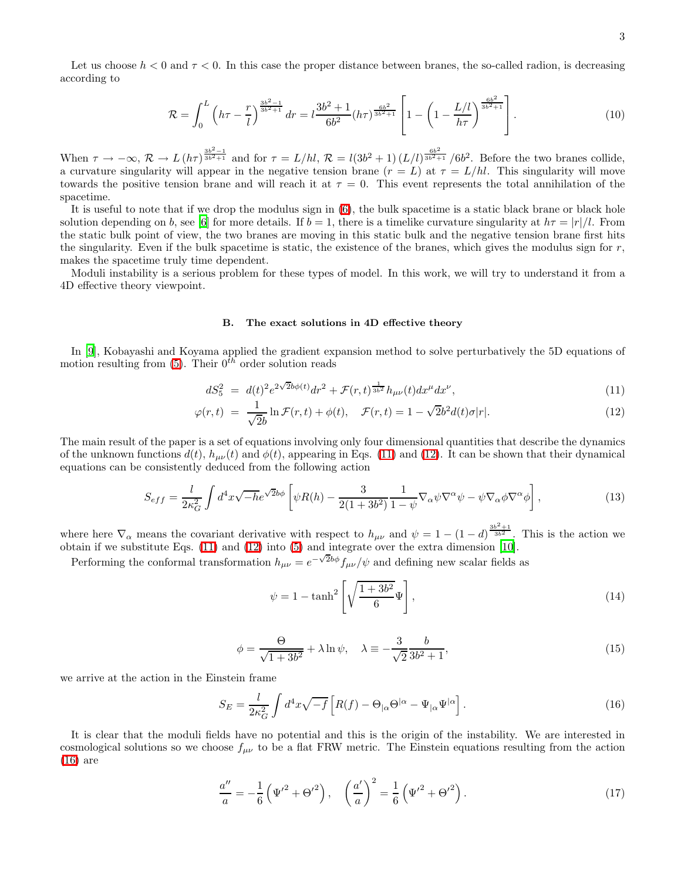<span id="page-2-4"></span>Let us choose  $h < 0$  and  $\tau < 0$ . In this case the proper distance between branes, the so-called radion, is decreasing according to

$$
\mathcal{R} = \int_0^L \left( h\tau - \frac{r}{l} \right)^{\frac{3b^2 - 1}{3b^2 + 1}} dr = l \frac{3b^2 + 1}{6b^2} (h\tau)^{\frac{6b^2}{3b^2 + 1}} \left[ 1 - \left( 1 - \frac{L/l}{h\tau} \right)^{\frac{6b^2}{3b^2 + 1}} \right].
$$
 (10)

When  $\tau \to -\infty$ ,  $\mathcal{R} \to L(h\tau)^{\frac{3b^2-1}{3b^2+1}}$  and for  $\tau = L/hl$ ,  $\mathcal{R} = l(3b^2+1)(L/l)^{\frac{6b^2}{3b^2+1}}/6b^2$ . Before the two branes collide, a curvature singularity will appear in the negative tension brane  $(r = L)$  at  $\tau = L/hl$ . This singularity will move towards the positive tension brane and will reach it at  $\tau = 0$ . This event represents the total annihilation of the spacetime.

It is useful to note that if we drop the modulus sign in [\(6\)](#page-1-1), the bulk spacetime is a static black brane or black hole solution depending on b, see [\[6\]](#page-10-5) for more details. If  $b = 1$ , there is a timelike curvature singularity at  $h\tau = |r|/l$ . From the static bulk point of view, the two branes are moving in this static bulk and the negative tension brane first hits the singularity. Even if the bulk spacetime is static, the existence of the branes, which gives the modulus sign for  $r$ , makes the spacetime truly time dependent.

Moduli instability is a serious problem for these types of model. In this work, we will try to understand it from a 4D effective theory viewpoint.

### B. The exact solutions in 4D effective theory

In [\[9](#page-10-8)], Kobayashi and Koyama applied the gradient expansion method to solve perturbatively the 5D equations of motion resulting from [\(5\)](#page-1-0). Their  $0^{th}$  order solution reads

<span id="page-2-5"></span>
$$
dS_5^2 = d(t)^2 e^{2\sqrt{2}b\phi(t)} dr^2 + \mathcal{F}(r,t)^{\frac{1}{3b^2}} h_{\mu\nu}(t) dx^{\mu} dx^{\nu}, \tag{11}
$$

<span id="page-2-0"></span>
$$
\varphi(r,t) = \frac{1}{\sqrt{2}b} \ln \mathcal{F}(r,t) + \phi(t), \quad \mathcal{F}(r,t) = 1 - \sqrt{2}b^2 d(t)\sigma|r|.
$$
\n(12)

The main result of the paper is a set of equations involving only four dimensional quantities that describe the dynamics of the unknown functions  $d(t)$ ,  $h_{\mu\nu}(t)$  and  $\phi(t)$ , appearing in Eqs. [\(11\)](#page-2-0) and [\(12\)](#page-2-0). It can be shown that their dynamical equations can be consistently deduced from the following action

$$
S_{eff} = \frac{l}{2\kappa_G^2} \int d^4x \sqrt{-h} e^{\sqrt{2}b\phi} \left[ \psi R(h) - \frac{3}{2(1+3b^2)} \frac{1}{1-\psi} \nabla_\alpha \psi \nabla^\alpha \psi - \psi \nabla_\alpha \phi \nabla^\alpha \phi \right],\tag{13}
$$

where here  $\nabla_{\alpha}$  means the covariant derivative with respect to  $h_{\mu\nu}$  and  $\psi = 1 - (1 - d)^{\frac{3b^2+1}{3b^2}}$ . This is the action we obtain if we substitute Eqs. [\(11\)](#page-2-0) and [\(12\)](#page-2-0) into [\(5\)](#page-1-0) and integrate over the extra dimension [\[10\]](#page-10-9).

<span id="page-2-3"></span>Performing the conformal transformation  $h_{\mu\nu} = e^{-\sqrt{2}b\phi} f_{\mu\nu}/\psi$  and defining new scalar fields as

$$
\psi = 1 - \tanh^2\left[\sqrt{\frac{1+3b^2}{6}}\Psi\right],\tag{14}
$$

$$
\phi = \frac{\Theta}{\sqrt{1+3b^2}} + \lambda \ln \psi, \quad \lambda \equiv -\frac{3}{\sqrt{2}} \frac{b}{3b^2+1},\tag{15}
$$

we arrive at the action in the Einstein frame

<span id="page-2-1"></span>
$$
S_E = \frac{l}{2\kappa_G^2} \int d^4x \sqrt{-f} \left[ R(f) - \Theta_{|\alpha} \Theta^{|\alpha} - \Psi_{|\alpha} \Psi^{|\alpha} \right]. \tag{16}
$$

<span id="page-2-2"></span>It is clear that the moduli fields have no potential and this is the origin of the instability. We are interested in cosmological solutions so we choose  $f_{\mu\nu}$  to be a flat FRW metric. The Einstein equations resulting from the action [\(16\)](#page-2-1) are

$$
\frac{a''}{a} = -\frac{1}{6} \left( \Psi'^2 + \Theta'^2 \right), \quad \left( \frac{a'}{a} \right)^2 = \frac{1}{6} \left( \Psi'^2 + \Theta'^2 \right). \tag{17}
$$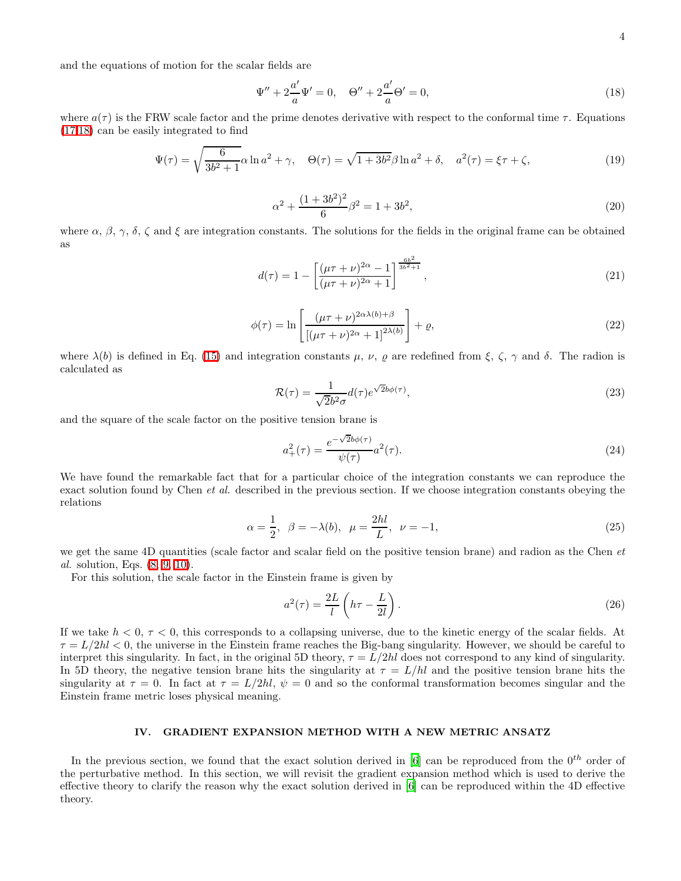and the equations of motion for the scalar fields are

<span id="page-3-0"></span>
$$
\Psi'' + 2\frac{a'}{a}\Psi' = 0, \quad \Theta'' + 2\frac{a'}{a}\Theta' = 0,
$$
\n(18)

where  $a(\tau)$  is the FRW scale factor and the prime denotes derivative with respect to the conformal time  $\tau$ . Equations [\(17,](#page-2-2)[18\)](#page-3-0) can be easily integrated to find

$$
\Psi(\tau) = \sqrt{\frac{6}{3b^2 + 1}} \alpha \ln a^2 + \gamma, \quad \Theta(\tau) = \sqrt{1 + 3b^2} \beta \ln a^2 + \delta, \quad a^2(\tau) = \xi \tau + \zeta,
$$
\n(19)

$$
\alpha^2 + \frac{(1+3b^2)^2}{6}\beta^2 = 1 + 3b^2,\tag{20}
$$

where  $\alpha$ ,  $\beta$ ,  $\gamma$ ,  $\delta$ ,  $\zeta$  and  $\xi$  are integration constants. The solutions for the fields in the original frame can be obtained as

$$
d(\tau) = 1 - \left[ \frac{(\mu \tau + \nu)^{2\alpha} - 1}{(\mu \tau + \nu)^{2\alpha} + 1} \right]^{\frac{6b^2}{3b^2 + 1}},
$$
\n(21)

$$
\phi(\tau) = \ln \left[ \frac{(\mu \tau + \nu)^{2\alpha \lambda(b) + \beta}}{\left[ (\mu \tau + \nu)^{2\alpha} + 1 \right]^{2\lambda(b)}} \right] + \varrho,
$$
\n(22)

where  $\lambda(b)$  is defined in Eq. [\(15\)](#page-2-3) and integration constants  $\mu$ ,  $\nu$ ,  $\rho$  are redefined from  $\xi$ ,  $\zeta$ ,  $\gamma$  and  $\delta$ . The radion is calculated as

$$
\mathcal{R}(\tau) = \frac{1}{\sqrt{2}b^2\sigma} d(\tau) e^{\sqrt{2}b\phi(\tau)},\tag{23}
$$

and the square of the scale factor on the positive tension brane is

$$
a_+^2(\tau) = \frac{e^{-\sqrt{2}b\phi(\tau)}}{\psi(\tau)} a^2(\tau).
$$
 (24)

We have found the remarkable fact that for a particular choice of the integration constants we can reproduce the exact solution found by Chen et al. described in the previous section. If we choose integration constants obeying the relations

$$
\alpha = \frac{1}{2}, \ \beta = -\lambda(b), \ \mu = \frac{2hl}{L}, \ \nu = -1,
$$
\n(25)

we get the same 4D quantities (scale factor and scalar field on the positive tension brane) and radion as the Chen et al. solution, Eqs. [\(8,](#page-1-2) [9,](#page-1-3) [10\)](#page-2-4).

For this solution, the scale factor in the Einstein frame is given by

$$
a^2(\tau) = \frac{2L}{l} \left( h\tau - \frac{L}{2l} \right). \tag{26}
$$

If we take  $h < 0, \tau < 0$ , this corresponds to a collapsing universe, due to the kinetic energy of the scalar fields. At  $\tau = L/2hl < 0$ , the universe in the Einstein frame reaches the Big-bang singularity. However, we should be careful to interpret this singularity. In fact, in the original 5D theory,  $\tau = L/2hl$  does not correspond to any kind of singularity. In 5D theory, the negative tension brane hits the singularity at  $\tau = L/hl$  and the positive tension brane hits the singularity at  $\tau = 0$ . In fact at  $\tau = L/2hl$ ,  $\psi = 0$  and so the conformal transformation becomes singular and the Einstein frame metric loses physical meaning.

# IV. GRADIENT EXPANSION METHOD WITH A NEW METRIC ANSATZ

In the previous section, we found that the exact solution derived in  $[6]$  can be reproduced from the  $0^{th}$  order of the perturbative method. In this section, we will revisit the gradient expansion method which is used to derive the effective theory to clarify the reason why the exact solution derived in [\[6](#page-10-5)] can be reproduced within the 4D effective theory.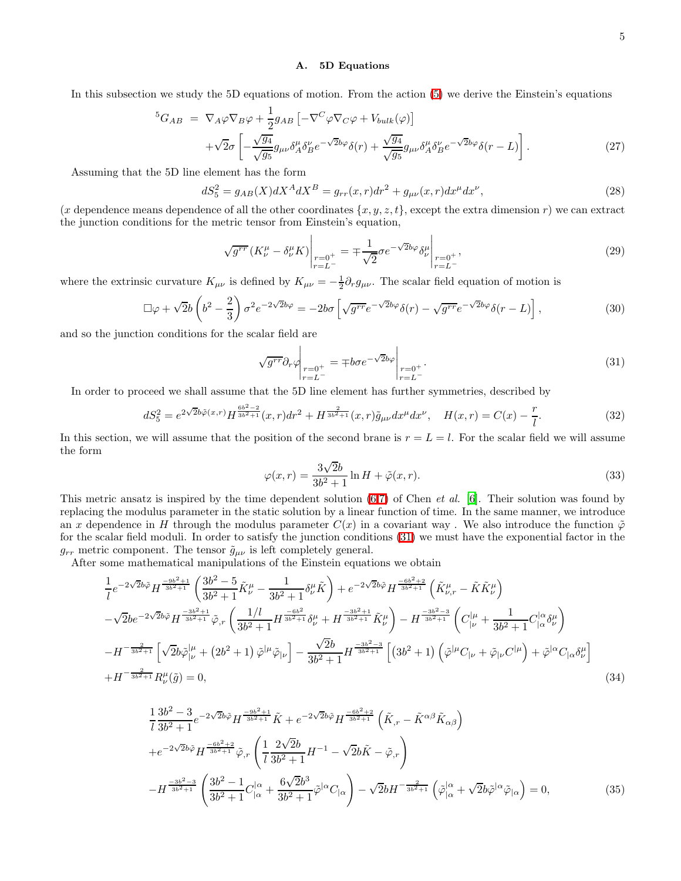#### A. 5D Equations

In this subsection we study the 5D equations of motion. From the action [\(5\)](#page-1-0) we derive the Einstein's equations

$$
{}^{5}G_{AB} = \nabla_{A}\varphi\nabla_{B}\varphi + \frac{1}{2}g_{AB}\left[-\nabla^{C}\varphi\nabla_{C}\varphi + V_{bulk}(\varphi)\right] +\sqrt{2}\sigma\left[-\frac{\sqrt{g_{4}}}{\sqrt{g_{5}}}g_{\mu\nu}\delta^{\mu}_{A}\delta^{\nu}_{B}e^{-\sqrt{2}b\varphi}\delta(r) + \frac{\sqrt{g_{4}}}{\sqrt{g_{5}}}g_{\mu\nu}\delta^{\mu}_{A}\delta^{\nu}_{B}e^{-\sqrt{2}b\varphi}\delta(r-L)\right].
$$
\n(27)

Assuming that the 5D line element has the form

$$
dS_5^2 = g_{AB}(X)dX^AdX^B = g_{rr}(x,r)dr^2 + g_{\mu\nu}(x,r)dx^{\mu}dx^{\nu},
$$
\n(28)

(x dependence means dependence of all the other coordinates  $\{x, y, z, t\}$ , except the extra dimension r) we can extract the junction conditions for the metric tensor from Einstein's equation,

<span id="page-4-2"></span>
$$
\sqrt{g^{rr}} \left( K^{\mu}_{\nu} - \delta^{\mu}_{\nu} K \right) \Big|_{\substack{r=0^{+} \\ r=L^{-}}} = \mp \frac{1}{\sqrt{2}} \sigma e^{-\sqrt{2}b\varphi} \delta^{\mu}_{\nu} \Big|_{\substack{r=0^{+} \\ r=L^{-}}} , \tag{29}
$$

where the extrinsic curvature  $K_{\mu\nu}$  is defined by  $K_{\mu\nu} = -\frac{1}{2}\partial_r g_{\mu\nu}$ . The scalar field equation of motion is

$$
\Box \varphi + \sqrt{2}b \left( b^2 - \frac{2}{3} \right) \sigma^2 e^{-2\sqrt{2}b\varphi} = -2b\sigma \left[ \sqrt{g^{rr}} e^{-\sqrt{2}b\varphi} \delta(r) - \sqrt{g^{rr}} e^{-\sqrt{2}b\varphi} \delta(r - L) \right],\tag{30}
$$

and so the junction conditions for the scalar field are

<span id="page-4-1"></span><span id="page-4-0"></span>
$$
\sqrt{g^{rr}} \partial_r \varphi \bigg|_{\substack{r=0^+\\r=L^-}} = \mp b\sigma e^{-\sqrt{2}b\varphi} \bigg|_{\substack{r=0^+\\r=L^-}}.
$$
\n(31)

In order to proceed we shall assume that the 5D line element has further symmetries, described by

$$
dS_5^2 = e^{2\sqrt{2}b\tilde{\varphi}(x,r)} H^{\frac{6b^2-2}{3b^2+1}}(x,r)dr^2 + H^{\frac{2}{3b^2+1}}(x,r)\tilde{g}_{\mu\nu}dx^{\mu}dx^{\nu}, \quad H(x,r) = C(x) - \frac{r}{l}.
$$
 (32)

In this section, we will assume that the position of the second brane is  $r = L = l$ . For the scalar field we will assume the form

$$
\varphi(x,r) = \frac{3\sqrt{2}b}{3b^2 + 1} \ln H + \tilde{\varphi}(x,r). \tag{33}
$$

This metric ansatz is inspired by the time dependent solution  $(6,7)$  of Chen *et al.* [\[6](#page-10-5)]. Their solution was found by replacing the modulus parameter in the static solution by a linear function of time. In the same manner, we introduce an x dependence in H through the modulus parameter  $C(x)$  in a covariant way. We also introduce the function  $\tilde{\varphi}$ for the scalar field moduli. In order to satisfy the junction conditions [\(31\)](#page-4-0) we must have the exponential factor in the  $g_{rr}$  metric component. The tensor  $\tilde{g}_{\mu\nu}$  is left completely general.

<span id="page-4-3"></span>After some mathematical manipulations of the Einstein equations we obtain

$$
\frac{1}{l}e^{-2\sqrt{2}b\tilde{\varphi}}H^{\frac{-9b^2+1}{3b^2+1}}\left(\frac{3b^2-5}{3b^2+1}\tilde{K}^{\mu}_{\nu}-\frac{1}{3b^2+1}\delta^{\mu}_{\nu}\tilde{K}\right)+e^{-2\sqrt{2}b\tilde{\varphi}}H^{\frac{-6b^2+2}{3b^2+1}}\left(\tilde{K}^{\mu}_{\nu,r}-\tilde{K}\tilde{K}^{\mu}_{\nu}\right) -\sqrt{2}be^{-2\sqrt{2}b\tilde{\varphi}}H^{\frac{-3b^2+1}{3b^2+1}}\tilde{\varphi}_{,r}\left(\frac{1/l}{3b^2+1}H^{\frac{-6b^2}{3b^2+1}}\delta^{\mu}_{\nu}+H^{\frac{-3b^2+1}{3b^2+1}}\tilde{K}^{\mu}_{\nu}\right)-H^{\frac{-3b^2-3}{3b^2+1}}\left(C^{\mu}_{\vert\nu}+\frac{1}{3b^2+1}C^{\vert\alpha}_{\vert\alpha}\delta^{\mu}_{\nu}\right) -H^{-\frac{2}{3b^2+1}}\left[\sqrt{2}b\tilde{\varphi}^{\vert\mu}_{\vert\nu}+\left(2b^2+1\right)\tilde{\varphi}^{\vert\mu}\tilde{\varphi}_{\vert\nu}\right]-\frac{\sqrt{2}b}{3b^2+1}H^{\frac{-3b^2-3}{3b^2+1}}\left[\left(3b^2+1\right)\left(\tilde{\varphi}^{\vert\mu}C_{\vert\nu}+\tilde{\varphi}_{\vert\nu}C^{\vert\mu}\right)+\tilde{\varphi}^{\vert\alpha}C_{\vert\alpha}\delta^{\mu}_{\nu}\right] +H^{-\frac{2}{3b^2+1}}R^{\mu}_{\nu}(\tilde{g})=0,
$$
\n(34)

$$
\frac{1}{l} \frac{3b^2 - 3}{3b^2 + 1} e^{-2\sqrt{2}b\tilde{\varphi}} H^{\frac{-9b^2 + 1}{3b^2 + 1}} \tilde{K} + e^{-2\sqrt{2}b\tilde{\varphi}} H^{\frac{-6b^2 + 2}{3b^2 + 1}} \left( \tilde{K}_{,r} - \tilde{K}^{\alpha\beta} \tilde{K}_{\alpha\beta} \right)
$$
  
+ 
$$
e^{-2\sqrt{2}b\tilde{\varphi}} H^{\frac{-6b^2 + 2}{3b^2 + 1}} \tilde{\varphi}_{,r} \left( \frac{1}{l} \frac{2\sqrt{2}b}{3b^2 + 1} H^{-1} - \sqrt{2}b\tilde{K} - \tilde{\varphi}_{,r} \right)
$$

$$
- H^{\frac{-3b^2 - 3}{3b^2 + 1}} \left( \frac{3b^2 - 1}{3b^2 + 1} C_{|\alpha}^{|\alpha} + \frac{6\sqrt{2}b^3}{3b^2 + 1} \tilde{\varphi}^{|\alpha} C_{|\alpha} \right) - \sqrt{2}b H^{-\frac{2}{3b^2 + 1}} \left( \tilde{\varphi}|_{\alpha}^{|\alpha} + \sqrt{2}b\tilde{\varphi}^{|\alpha} \tilde{\varphi}_{|\alpha} \right) = 0,
$$
(35)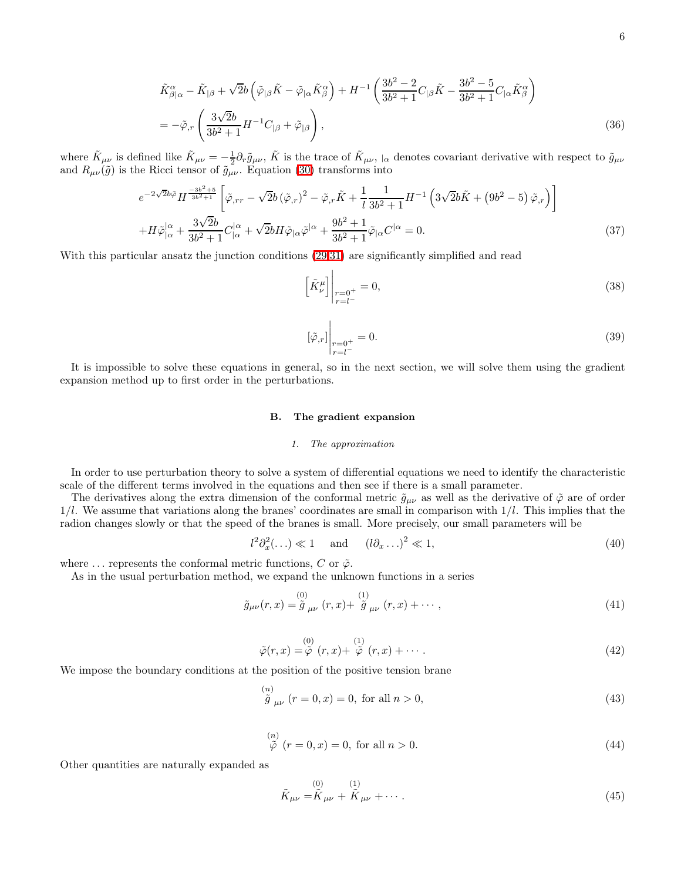$$
\tilde{K}^{\alpha}_{\beta|\alpha} - \tilde{K}_{|\beta} + \sqrt{2}b\left(\tilde{\varphi}_{|\beta}\tilde{K} - \tilde{\varphi}_{|\alpha}\tilde{K}^{\alpha}_{\beta}\right) + H^{-1}\left(\frac{3b^2 - 2}{3b^2 + 1}C_{|\beta}\tilde{K} - \frac{3b^2 - 5}{3b^2 + 1}C_{|\alpha}\tilde{K}^{\alpha}_{\beta}\right)
$$
\n
$$
= -\tilde{\varphi}_{,r}\left(\frac{3\sqrt{2}b}{3b^2 + 1}H^{-1}C_{|\beta} + \tilde{\varphi}_{|\beta}\right),\tag{36}
$$

where  $\tilde{K}_{\mu\nu}$  is defined like  $\tilde{K}_{\mu\nu} = -\frac{1}{2} \partial_r \tilde{g}_{\mu\nu}$ ,  $\tilde{K}$  is the trace of  $\tilde{K}_{\mu\nu}$ ,  $\alpha$  denotes covariant derivative with respect to  $\tilde{g}_{\mu\nu}$ and  $R_{\mu\nu}(\tilde{g})$  is the Ricci tensor of  $\tilde{g}_{\mu\nu}$ . Equation [\(30\)](#page-4-1) transforms into

$$
e^{-2\sqrt{2}b\tilde{\varphi}}H^{\frac{-3b^2+5}{3b^2+1}}\left[\tilde{\varphi}_{,rr} - \sqrt{2}b\left(\tilde{\varphi}_{,r}\right)^2 - \tilde{\varphi}_{,r}\tilde{K} + \frac{1}{l}\frac{1}{3b^2+1}H^{-1}\left(3\sqrt{2}b\tilde{K} + \left(9b^2-5\right)\tilde{\varphi}_{,r}\right)\right]
$$

$$
+H\tilde{\varphi}|_{\alpha}^{|\alpha} + \frac{3\sqrt{2}b}{3b^2+1}C_{|\alpha}^{|\alpha} + \sqrt{2}bH\tilde{\varphi}_{|\alpha}\tilde{\varphi}^{|\alpha} + \frac{9b^2+1}{3b^2+1}\tilde{\varphi}_{|\alpha}C^{|\alpha} = 0.
$$
(37)

<span id="page-5-2"></span>With this particular ansatz the junction conditions [\(29,](#page-4-2)[31\)](#page-4-0) are significantly simplified and read

$$
\left[\tilde{K}_{\nu}^{\mu}\right]_{\substack{r=0^{+} \\ r=l^{-}}} = 0,\tag{38}
$$

$$
[\tilde{\varphi}_{,r}]\Big|_{\substack{r=0^+\\r=l^-}} = 0.\tag{39}
$$

It is impossible to solve these equations in general, so in the next section, we will solve them using the gradient expansion method up to first order in the perturbations.

# B. The gradient expansion

# <span id="page-5-3"></span>1. The approximation

In order to use perturbation theory to solve a system of differential equations we need to identify the characteristic scale of the different terms involved in the equations and then see if there is a small parameter.

The derivatives along the extra dimension of the conformal metric  $\tilde{g}_{\mu\nu}$  as well as the derivative of  $\tilde{\varphi}$  are of order  $1/l$ . We assume that variations along the branes' coordinates are small in comparison with  $1/l$ . This implies that the radion changes slowly or that the speed of the branes is small. More precisely, our small parameters will be

$$
l^2 \partial_x^2 (\dots) \ll 1 \quad \text{and} \quad (l \partial_x \dots)^2 \ll 1,
$$
\n
$$
(40)
$$

where  $\ldots$  represents the conformal metric functions, C or  $\tilde{\varphi}$ .

As in the usual perturbation method, we expand the unknown functions in a series

$$
\tilde{g}_{\mu\nu}(r,x) = \tilde{g}_{\mu\nu}(r,x) + \tilde{g}_{\mu\nu}(r,x) + \cdots,
$$
\n(41)

<span id="page-5-1"></span>
$$
\tilde{\varphi}(r,x) = \stackrel{(0)}{\tilde{\varphi}}(r,x) + \stackrel{(1)}{\tilde{\varphi}}(r,x) + \cdots.
$$
\n(42)

<span id="page-5-0"></span>We impose the boundary conditions at the position of the positive tension brane

$$
\stackrel{(n)}{\tilde{g}}_{\mu\nu} (r = 0, x) = 0, \text{ for all } n > 0,
$$
\n(43)

$$
\stackrel{(n)}{\tilde{\varphi}}(r=0,x) = 0, \text{ for all } n > 0.
$$
\n(44)

Other quantities are naturally expanded as

$$
\tilde{K}_{\mu\nu} = \tilde{K}_{\mu\nu} + \tilde{K}_{\mu\nu} + \cdots \tag{45}
$$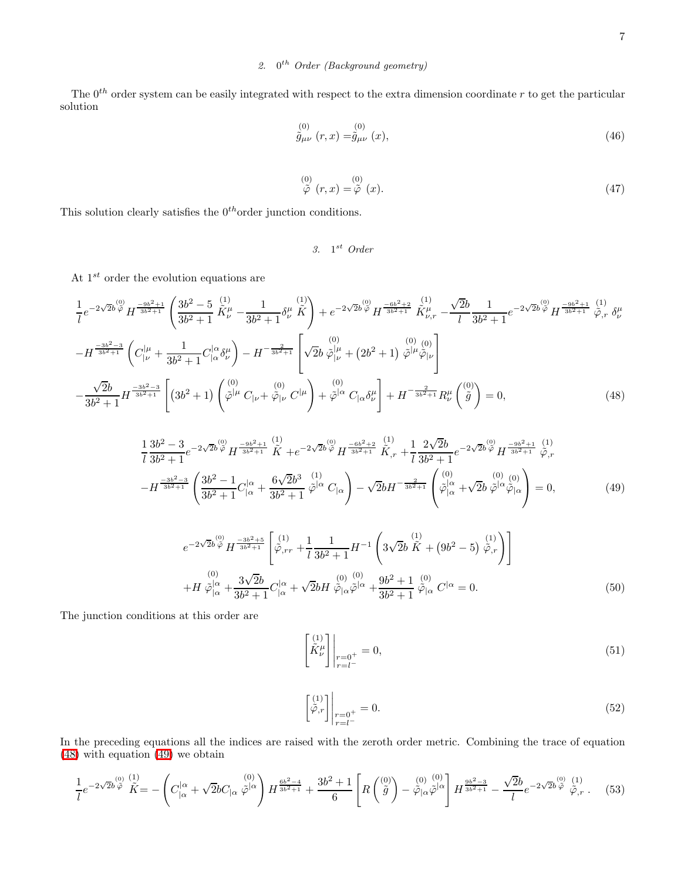# 2.  $0^{th}$  Order (Background geometry)

The  $0^{th}$  order system can be easily integrated with respect to the extra dimension coordinate r to get the particular solution

$$
\stackrel{(0)}{\tilde{g}_{\mu\nu}}(r,x) = \stackrel{(0)}{\tilde{g}_{\mu\nu}}(x),\tag{46}
$$

$$
\stackrel{(0)}{\tilde{\varphi}}(r,x) = \stackrel{(0)}{\tilde{\varphi}}(x). \tag{47}
$$

This solution clearly satisfies the  $0^{th}\mbox{order}$  junction conditions.

3. 
$$
1^{st}
$$
 Order

At  $1^{st}$  order the evolution equations are

<span id="page-6-0"></span>
$$
\frac{1}{l}e^{-2\sqrt{2}b\stackrel{(0)}{\varphi}}H^{-\frac{9b^2+1}{3b^2+1}}\left(\frac{3b^2-5}{3b^2+1}\stackrel{(1)}{\tilde{K}}_{\nu}^{\mu}-\frac{1}{3b^2+1}\delta_{\nu}^{\mu}\stackrel{(1)}{\tilde{K}}\right)+e^{-2\sqrt{2}b\stackrel{(0)}{\varphi}}H^{\frac{-6b^2+2}{3b^2+1}}\stackrel{(1)}{\tilde{K}}_{\nu,r}^{\mu}-\frac{\sqrt{2}b}{l}\frac{1}{3b^2+1}e^{-2\sqrt{2}b\stackrel{(0)}{\varphi}}H^{\frac{-9b^2+1}{3b^2+1}}\tilde{\varphi}_{,r}\delta_{\nu}^{\mu}
$$
\n
$$
-H^{\frac{-3b^2-3}{3b^2+1}}\left(C_{|\nu}^{|\mu}+\frac{1}{3b^2+1}C_{|\alpha}^{|\alpha}\delta_{\nu}^{\mu}\right)-H^{-\frac{2}{3b^2+1}}\left[\sqrt{2}b\stackrel{(0)}{\varphi}{}_{|\nu}^{|\mu}+(2b^2+1)\stackrel{(0)}{\varphi}{}^{|\mu}\hat{\varphi}_{|\nu}\right]
$$
\n
$$
-\frac{\sqrt{2}b}{3b^2+1}H^{\frac{-3b^2-3}{3b^2+1}}\left[\left(3b^2+1\right)\left(\stackrel{(0)}{\varphi}{}^{|\mu}C_{|\nu}+\stackrel{(0)}{\varphi}_{|\nu}C^{|\mu}\right)+\stackrel{(0)}{\varphi}{}^{|\alpha}C_{|\alpha}\delta_{\nu}^{\mu}\right]+H^{-\frac{2}{3b^2+1}}R_{\nu}^{\mu}\left(\stackrel{(0)}{\tilde{g}}\right)=0,\tag{48}
$$

<span id="page-6-1"></span>
$$
\frac{1}{l}\frac{3b^2-3}{3b^2+1}e^{-2\sqrt{2}b\stackrel{(0)}{\varphi}}H^{\frac{-9b^2+1}{3b^2+1}}\stackrel{(1)}{\tilde{K}}+e^{-2\sqrt{2}b\stackrel{(0)}{\varphi}}H^{\frac{-6b^2+2}{3b^2+1}}\stackrel{(1)}{\tilde{K}},r+\frac{1}{l}\frac{2\sqrt{2}b}{3b^2+1}e^{-2\sqrt{2}b\stackrel{(0)}{\varphi}}H^{\frac{-9b^2+1}{3b^2+1}}\stackrel{(1)}{\tilde{\varphi},r}
$$

$$
-H^{\frac{-3b^2-3}{3b^2+1}}\left(\frac{3b^2-1}{3b^2+1}C_{|\alpha}^{|\alpha}+\frac{6\sqrt{2}b^3}{3b^2+1}\stackrel{(1)}{\varphi^{|\alpha}}C_{|\alpha}\right)-\sqrt{2}bH^{-\frac{2}{3b^2+1}}\left(\stackrel{(0)}{\varphi^{|\alpha}_{|\alpha}}+\sqrt{2}b\stackrel{(0)}{\varphi^{|\alpha}\varphi_{|\alpha}}\right)=0,
$$
(49)

<span id="page-6-2"></span>
$$
e^{-2\sqrt{2}b\stackrel{(0)}{\varphi}}H^{-\frac{3b^2+5}{3b^2+1}}\left[\stackrel{(1)}{\varphi}_{,rr}+\frac{1}{l}\frac{1}{3b^2+1}H^{-1}\left(3\sqrt{2}b\stackrel{(1)}{\tilde{K}}+(9b^2-5)\stackrel{(1)}{\tilde{\varphi}_{,r}}\right)\right]
$$
  
+
$$
H\stackrel{(0)}{\varphi|_{\alpha}^{\alpha}}+\frac{3\sqrt{2}b}{3b^2+1}C_{|\alpha}^{|\alpha}+\sqrt{2}bH\stackrel{(0)}{\tilde{\varphi}_{|\alpha}^{\beta}}\stackrel{(0)}{\varphi_{|\alpha}^{\beta}}+\frac{9b^2+1}{3b^2+1}\stackrel{(0)}{\tilde{\varphi}_{|\alpha}^{\beta}}C^{|\alpha}=0.
$$
 (50)

<span id="page-6-5"></span><span id="page-6-3"></span>The junction conditions at this order are

$$
\begin{bmatrix} (1) \\ \tilde{K}^{\mu}_{\nu} \\ \end{bmatrix} \bigg|_{\substack{r=0^{+} \\ r=l^{-}}} = 0,\tag{51}
$$

$$
\begin{bmatrix} \begin{bmatrix} 1\\ \tilde{\varphi}, r \end{bmatrix} \Big|_{\substack{r=0^+\\ r=t^-}} = 0. \end{bmatrix} \tag{52}
$$

In the preceding equations all the indices are raised with the zeroth order metric. Combining the trace of equation [\(48\)](#page-6-0) with equation [\(49\)](#page-6-1) we obtain

<span id="page-6-4"></span>
$$
\frac{1}{l}e^{-2\sqrt{2}b\stackrel{(0)}{\tilde{\varphi}}}\stackrel{(1)}{\tilde{K}}=-\left(C_{|\alpha}^{|\alpha}+\sqrt{2}bC_{|\alpha}\stackrel{(0)}{\tilde{\varphi}}^{|\alpha}\right)H^{\frac{6b^2-4}{3b^2+1}}+\frac{3b^2+1}{6}\left[R\left(\stackrel{(0)}{\tilde{g}}\right)-\stackrel{(0)}{\tilde{\varphi}_{|\alpha}\tilde{\varphi}}^{(0)}\right]H^{\frac{9b^2-3}{3b^2+1}}-\frac{\sqrt{2}b}{l}e^{-2\sqrt{2}b\stackrel{(0)}{\tilde{\varphi}}}\stackrel{(1)}{\tilde{\varphi},r}.\tag{53}
$$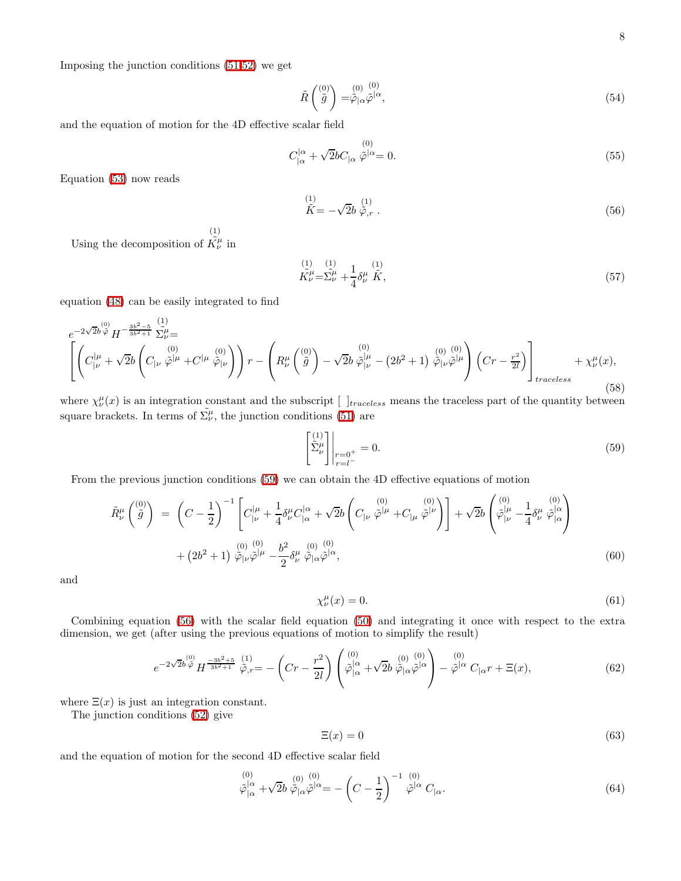Imposing the junction conditions [\(51,](#page-6-2)[52\)](#page-6-3) we get

$$
\tilde{R}\begin{pmatrix}^{(0)} \\ \tilde{g} \end{pmatrix} = \tilde{\varphi}_{|\alpha}^{(0)} \tilde{\varphi}^{|\alpha},\tag{54}
$$

and the equation of motion for the 4D effective scalar field

$$
C_{|\alpha}^{|\alpha} + \sqrt{2}bC_{|\alpha}\tilde{\varphi}^{|\alpha} = 0.
$$
\n(55)

<span id="page-7-1"></span>Equation [\(53\)](#page-6-4) now reads

$$
\stackrel{(1)}{\tilde{K}} = -\sqrt{2}b \stackrel{(1)}{\tilde{\varphi},r}.
$$
\n(56)

Using the decomposition of  $\tilde{K}^{\mu}_{\nu}$  in (1)

<span id="page-7-3"></span>
$$
\stackrel{(1)}{K}\stackrel{(1)}{\nu} = \stackrel{(1)}{\Sigma}\stackrel{(1)}{\nu} + \frac{1}{4}\delta^{\mu}_{\nu}\stackrel{(1)}{\tilde{K}},\tag{57}
$$

equation [\(48\)](#page-6-0) can be easily integrated to find

$$
e^{-2\sqrt{2}b\frac{^{(0)}}{\varphi}}H^{-\frac{3b^{2}-5}{3b^{2}+1}}\tilde{\Sigma}_{\nu}^{\mu} = \left[ \left( C_{|\nu}^{(0)}\tilde{\varphi}^{|\mu} + C^{|\mu}\tilde{\varphi}^{|\nu} \right) \right) r - \left( R_{\nu}^{\mu} \left( \tilde{g} \right) - \sqrt{2}b\,\tilde{\varphi}^{|\mu}_{|\nu} - (2b^{2}+1)\,\tilde{\varphi}^{(0)}_{|\nu}\tilde{\varphi}^{|\mu} \right) \left( Cr - \frac{r^{2}}{2l} \right) \right]_{traceless} + \chi_{\nu}^{\mu}(x), \tag{58}
$$

where  $\chi^{\mu}_{\nu}(x)$  is an integration constant and the subscript  $[$   $]$ <sub>traceless</sub> means the traceless</sub> part of the quantity between square brackets. In terms of  $\tilde{\Sigma}_{\nu}^{\mu}$ , the junction conditions [\(51\)](#page-6-2) are

<span id="page-7-0"></span>
$$
\begin{bmatrix} (1) \\ \tilde{\Sigma}^{\mu}_{\nu} \\ r = 0^+ \end{bmatrix} \Big|_{\substack{r=0^+ \\ r=l^-}} = 0. \tag{59}
$$

From the previous junction conditions [\(59\)](#page-7-0) we can obtain the 4D effective equations of motion

$$
\tilde{R}^{\mu}_{\nu} \begin{pmatrix} 0 \\ \tilde{g} \end{pmatrix} = \left( C - \frac{1}{2} \right)^{-1} \left[ C_{|\nu}^{|\mu} + \frac{1}{4} \delta^{\mu}_{\nu} C_{|\alpha}^{|\alpha} + \sqrt{2} b \left( C_{|\nu} \stackrel{(0)}{\tilde{\varphi}}^{|\mu} + C_{|\mu} \stackrel{(0)}{\tilde{\varphi}}^{|\nu} \right) \right] + \sqrt{2} b \left( \stackrel{(0)}{\tilde{\varphi}}^{|\mu}_{|\nu} - \frac{1}{4} \delta^{\mu}_{\nu} \stackrel{(0)}{\tilde{\varphi}}^{|\alpha}_{|\alpha} \right)
$$
\n
$$
+ \left( 2b^2 + 1 \right) \stackrel{(0)}{\tilde{\varphi}}^{|\nu}_{|\nu} \tilde{\varphi}^{|\mu} - \frac{b^2}{2} \delta^{\mu}_{\nu} \stackrel{(0)}{\tilde{\varphi}}^{|\alpha}_{|\alpha} \tilde{\varphi}^{|\alpha}, \tag{60}
$$

and

<span id="page-7-2"></span>
$$
\chi_{\nu}^{\mu}(x) = 0. \tag{61}
$$

Combining equation [\(56\)](#page-7-1) with the scalar field equation [\(50\)](#page-6-5) and integrating it once with respect to the extra dimension, we get (after using the previous equations of motion to simplify the result)

$$
e^{-2\sqrt{2}b\,\tilde{\varphi}}H^{\frac{-3b^2+5}{3b^2+1}}\,\tilde{\varphi}_{,r} = -\left(Cr - \frac{r^2}{2l}\right)\begin{pmatrix}^{(0)} \\ \tilde{\varphi}|_{\alpha}^{|\alpha} + \sqrt{2}b\,\tilde{\varphi}_{|\alpha}\tilde{\varphi}^{|\alpha} \\^{(\alpha)} + \sqrt{2}b\,\tilde{\varphi}_{|\alpha}\tilde{\varphi}^{|\alpha} \end{pmatrix} - \tilde{\varphi}^{|\alpha}C_{|\alpha}r + \Xi(x),\tag{62}
$$

where  $\Xi(x)$  is just an integration constant.

The junction conditions [\(52\)](#page-6-3) give

$$
\Xi(x) = 0 \tag{63}
$$

and the equation of motion for the second 4D effective scalar field

$$
\tilde{\varphi}|_{\alpha}^{(0)} + \sqrt{2}b \tilde{\varphi}_{|\alpha} \tilde{\varphi}^{|\alpha} = -\left(C - \frac{1}{2}\right)^{-1} \tilde{\varphi}^{|\alpha|} C_{|\alpha}.
$$
\n(64)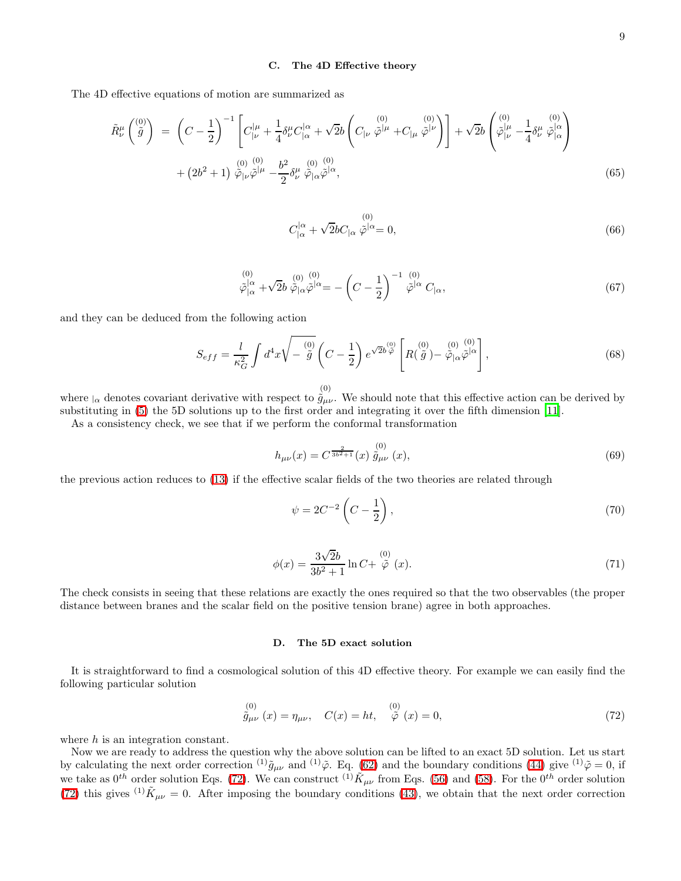### C. The 4D Effective theory

<span id="page-8-2"></span>The 4D effective equations of motion are summarized as

$$
\tilde{R}^{\mu}_{\nu}\begin{pmatrix} (0) \\ \tilde{g} \end{pmatrix} = \left(C - \frac{1}{2}\right)^{-1} \left[C_{|\nu}^{|\mu} + \frac{1}{4} \delta^{\mu}_{\nu} C_{|\alpha}^{|\alpha} + \sqrt{2}b \left(C_{|\nu} \stackrel{(0)}{\tilde{\varphi}}^{|\mu} + C_{|\mu} \stackrel{(0)}{\tilde{\varphi}}^{|\nu}\right)\right] + \sqrt{2}b \begin{pmatrix} (0) \\ \tilde{\varphi}^{\mu}_{|\nu} - \frac{1}{4} \delta^{\mu}_{\nu} \stackrel{(0)}{\tilde{\varphi}}^{|\alpha} \\ \tilde{\varphi}^{\alpha}_{|\nu} - \frac{1}{4} \delta^{\mu}_{\nu} \stackrel{(0)}{\tilde{\varphi}}^{|\alpha} \end{pmatrix} + (2b^2 + 1) \stackrel{(0)}{\tilde{\varphi}}_{|\nu}^{(0)} - \frac{b^2}{2} \delta^{\mu}_{\nu} \stackrel{(0)}{\tilde{\varphi}}_{|\alpha}^{(0)} \tilde{\varphi}^{|\alpha},
$$
\n(65)

$$
C_{|\alpha}^{|\alpha} + \sqrt{2}bC_{|\alpha}\tilde{\varphi}^{|\alpha} = 0, \qquad (66)
$$

<span id="page-8-1"></span>
$$
\tilde{\varphi}^{(0)}_{|\alpha} + \sqrt{2}b \tilde{\varphi}_{|\alpha} \tilde{\varphi}^{|\alpha} = -\left(C - \frac{1}{2}\right)^{-1} \tilde{\varphi}^{|\alpha|} C_{|\alpha},\tag{67}
$$

and they can be deduced from the following action

$$
S_{eff} = \frac{l}{\kappa_G^2} \int d^4x \sqrt{-\stackrel{(0)}{\tilde{g}}} \left( C - \frac{1}{2} \right) e^{\sqrt{2}b \stackrel{(0)}{\tilde{\varphi}}} \left[ R(\stackrel{(0)}{\tilde{g}}) - \stackrel{(0)}{\tilde{\varphi}}_{|\alpha} \stackrel{(0)}{\tilde{\varphi}}_{|\alpha} \right],
$$
(68)

$$
^{(c}
$$

where  $\alpha$  denotes covariant derivative with respect to  $\hat{g}^{(0)}_{\mu\nu}$ . We should note that this effective action can be derived by substituting in [\(5\)](#page-1-0) the 5D solutions up to the first order and integrating it over the fifth dimension [\[11\]](#page-10-10).

As a consistency check, we see that if we perform the conformal transformation

$$
h_{\mu\nu}(x) = C^{\frac{2}{3b^2+1}}(x) \stackrel{(0)}{\tilde{g}_{\mu\nu}}(x), \tag{69}
$$

the previous action reduces to [\(13\)](#page-2-5) if the effective scalar fields of the two theories are related through

$$
\psi = 2C^{-2}\left(C - \frac{1}{2}\right),\tag{70}
$$

$$
\phi(x) = \frac{3\sqrt{2}b}{3b^2 + 1} \ln C + \stackrel{(0)}{\tilde{\varphi}}(x). \tag{71}
$$

The check consists in seeing that these relations are exactly the ones required so that the two observables (the proper distance between branes and the scalar field on the positive tension brane) agree in both approaches.

### D. The 5D exact solution

<span id="page-8-0"></span>It is straightforward to find a cosmological solution of this 4D effective theory. For example we can easily find the following particular solution

$$
\stackrel{(0)}{\tilde{g}_{\mu\nu}}(x) = \eta_{\mu\nu}, \quad C(x) = ht, \quad \stackrel{(0)}{\tilde{\varphi}}(x) = 0,
$$
\n(72)

where h is an integration constant.

Now we are ready to address the question why the above solution can be lifted to an exact 5D solution. Let us start by calculating the next order correction  $^{(1)}\tilde{g}_{\mu\nu}$  and  $^{(1)}\tilde{\varphi}$ . Eq. [\(62\)](#page-7-2) and the boundary conditions [\(44\)](#page-5-0) give  $^{(1)}\tilde{\varphi} = 0$ , if we take as  $0^{th}$  order solution Eqs. [\(72\)](#page-8-0). We can construct <sup>(1)</sup>  $\tilde{K}_{\mu\nu}$  from Eqs. [\(56\)](#page-7-1) and [\(58\)](#page-7-3). For the  $0^{th}$  order solution [\(72\)](#page-8-0) this gives <sup>(1)</sup> $\tilde{K}_{\mu\nu} = 0$ . After imposing the boundary conditions [\(43\)](#page-5-1), we obtain that the next order correction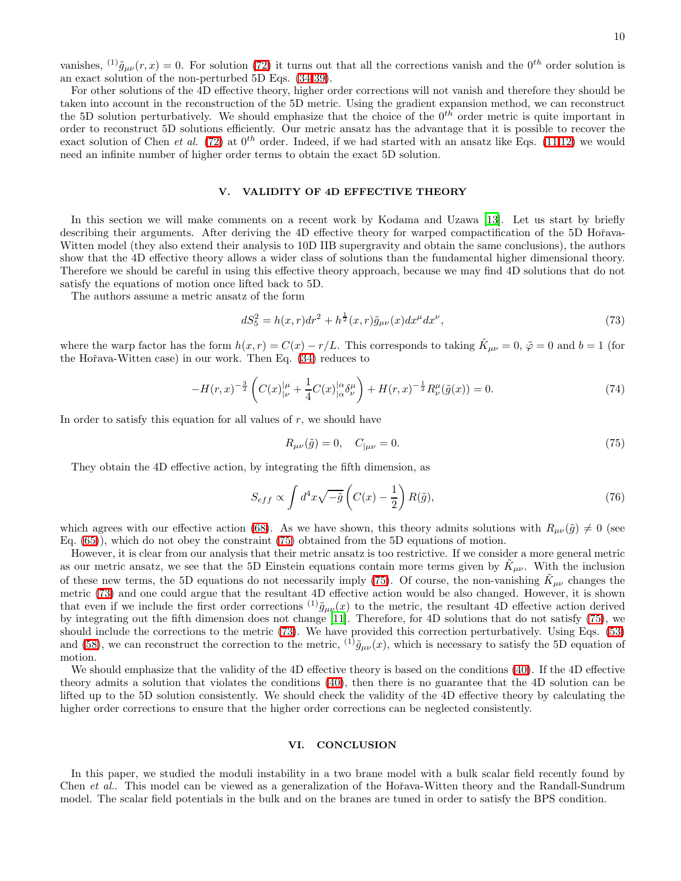vanishes,  $^{(1)}\tilde{g}_{\mu\nu}(r, x) = 0$ . For solution [\(72\)](#page-8-0) it turns out that all the corrections vanish and the 0<sup>th</sup> order solution is an exact solution of the non-perturbed 5D Eqs. [\(34](#page-4-3)[-39\)](#page-5-2).

For other solutions of the 4D effective theory, higher order corrections will not vanish and therefore they should be taken into account in the reconstruction of the 5D metric. Using the gradient expansion method, we can reconstruct the 5D solution perturbatively. We should emphasize that the choice of the  $0^{th}$  order metric is quite important in order to reconstruct 5D solutions efficiently. Our metric ansatz has the advantage that it is possible to recover the exact solution of Chen et al. [\(72\)](#page-8-0) at  $0^{th}$  order. Indeed, if we had started with an ansatz like Eqs. [\(11,12\)](#page-2-0) we would need an infinite number of higher order terms to obtain the exact 5D solution.

### V. VALIDITY OF 4D EFFECTIVE THEORY

In this section we will make comments on a recent work by Kodama and Uzawa [\[13\]](#page-10-12). Let us start by briefly describing their arguments. After deriving the 4D effective theory for warped compactification of the 5D Hořava-Witten model (they also extend their analysis to 10D IIB supergravity and obtain the same conclusions), the authors show that the 4D effective theory allows a wider class of solutions than the fundamental higher dimensional theory. Therefore we should be careful in using this effective theory approach, because we may find 4D solutions that do not satisfy the equations of motion once lifted back to 5D.

The authors assume a metric ansatz of the form

<span id="page-9-1"></span>
$$
dS_5^2 = h(x,r)dr^2 + h^{\frac{1}{2}}(x,r)\tilde{g}_{\mu\nu}(x)dx^{\mu}dx^{\nu},
$$
\n(73)

where the warp factor has the form  $h(x,r) = C(x) - r/L$ . This corresponds to taking  $K_{\mu\nu} = 0$ ,  $\tilde{\varphi} = 0$  and  $b = 1$  (for the Hoˇrava-Witten case) in our work. Then Eq. [\(34\)](#page-4-3) reduces to

$$
-H(r,x)^{-\frac{3}{2}}\left(C(x)|_{\nu}^{\mu} + \frac{1}{4}C(x)|_{\alpha}^{\alpha}\delta_{\nu}^{\mu}\right) + H(r,x)^{-\frac{1}{2}}R_{\nu}^{\mu}(\tilde{g}(x)) = 0.
$$
\n(74)

In order to satisfy this equation for all values of  $r$ , we should have

<span id="page-9-0"></span>
$$
R_{\mu\nu}(\tilde{g}) = 0, \quad C_{|\mu\nu} = 0. \tag{75}
$$

They obtain the 4D effective action, by integrating the fifth dimension, as

$$
S_{eff} \propto \int d^4x \sqrt{-\tilde{g}} \left( C(x) - \frac{1}{2} \right) R(\tilde{g}),\tag{76}
$$

which agrees with our effective action [\(68\)](#page-8-1). As we have shown, this theory admits solutions with  $R_{\mu\nu}(\tilde{q})\neq 0$  (see Eq. [\(65\)](#page-8-2)), which do not obey the constraint [\(75\)](#page-9-0) obtained from the 5D equations of motion.

However, it is clear from our analysis that their metric ansatz is too restrictive. If we consider a more general metric as our metric ansatz, we see that the 5D Einstein equations contain more terms given by  $\tilde{K}_{\mu\nu}$ . With the inclusion of these new terms, the 5D equations do not necessarily imply [\(75\)](#page-9-0). Of course, the non-vanishing  $\tilde{K}_{\mu\nu}$  changes the metric [\(73\)](#page-9-1) and one could argue that the resultant 4D effective action would be also changed. However, it is shown that even if we include the first order corrections <sup>(1)</sup> $\tilde{g}_{\mu\nu}(x)$  to the metric, the resultant 4D effective action derived by integrating out the fifth dimension does not change [\[11\]](#page-10-10). Therefore, for 4D solutions that do not satisfy [\(75\)](#page-9-0), we should include the corrections to the metric [\(73\)](#page-9-1). We have provided this correction perturbatively. Using Eqs. [\(53\)](#page-6-4) and [\(58\)](#page-7-3), we can reconstruct the correction to the metric, <sup>(1)</sup> $\tilde{g}_{\mu\nu}(x)$ , which is necessary to satisfy the 5D equation of motion.

We should emphasize that the validity of the 4D effective theory is based on the conditions [\(40\)](#page-5-3). If the 4D effective theory admits a solution that violates the conditions [\(40\)](#page-5-3), then there is no guarantee that the 4D solution can be lifted up to the 5D solution consistently. We should check the validity of the 4D effective theory by calculating the higher order corrections to ensure that the higher order corrections can be neglected consistently.

### VI. CONCLUSION

In this paper, we studied the moduli instability in a two brane model with a bulk scalar field recently found by Chen *et al.*. This model can be viewed as a generalization of the Hořava-Witten theory and the Randall-Sundrum model. The scalar field potentials in the bulk and on the branes are tuned in order to satisfy the BPS condition.